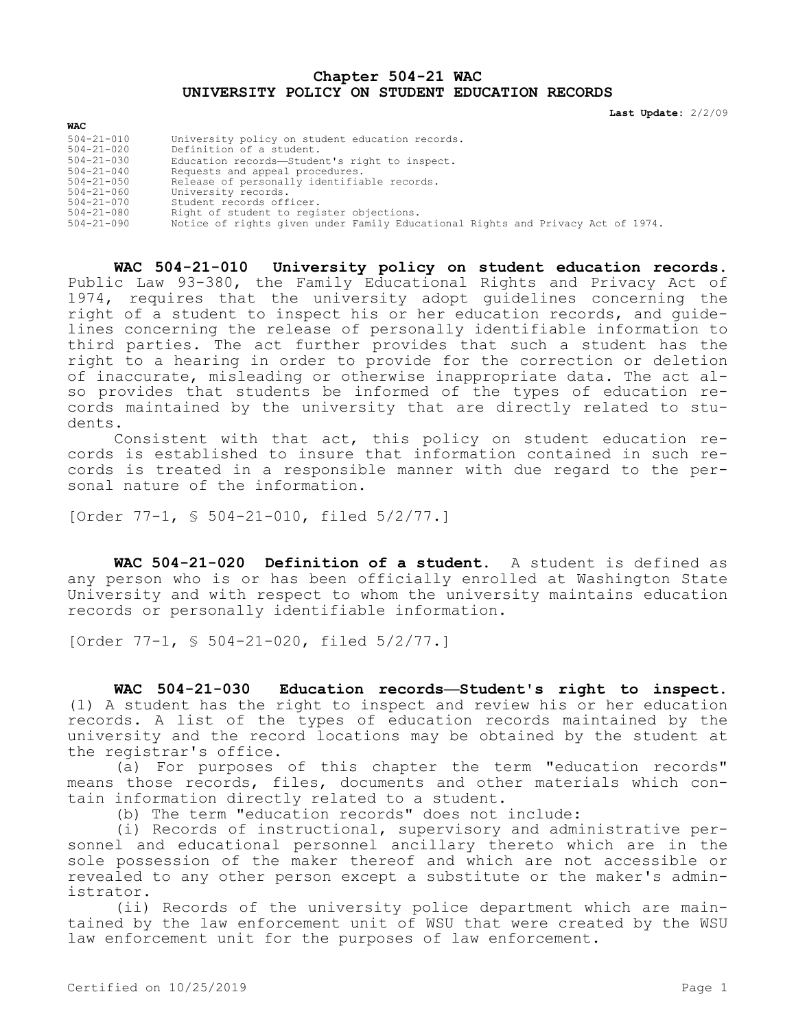## **Chapter 504-21 WAC UNIVERSITY POLICY ON STUDENT EDUCATION RECORDS**

**Last Update:** 2/2/09

| WAC              |                                                                                 |
|------------------|---------------------------------------------------------------------------------|
| $504 - 21 - 010$ | University policy on student education records.                                 |
| $504 - 21 - 020$ | Definition of a student.                                                        |
| $504 - 21 - 030$ | Education records-Student's right to inspect.                                   |
| $504 - 21 - 040$ | Requests and appeal procedures.                                                 |
| $504 - 21 - 050$ | Release of personally identifiable records.                                     |
| $504 - 21 - 060$ | University records.                                                             |
| $504 - 21 - 070$ | Student records officer.                                                        |
| $504 - 21 - 080$ | Right of student to register objections.                                        |
| 504-21-090       | Notice of rights given under Family Educational Rights and Privacy Act of 1974. |

**WAC 504-21-010 University policy on student education records.**  Public Law 93-380, the Family Educational Rights and Privacy Act of 1974, requires that the university adopt guidelines concerning the right of a student to inspect his or her education records, and guidelines concerning the release of personally identifiable information to third parties. The act further provides that such a student has the right to a hearing in order to provide for the correction or deletion of inaccurate, misleading or otherwise inappropriate data. The act also provides that students be informed of the types of education records maintained by the university that are directly related to students.

Consistent with that act, this policy on student education records is established to insure that information contained in such records is treated in a responsible manner with due regard to the personal nature of the information.

[Order 77-1, § 504-21-010, filed 5/2/77.]

**WAC 504-21-020 Definition of a student.** A student is defined as any person who is or has been officially enrolled at Washington State University and with respect to whom the university maintains education records or personally identifiable information.

[Order 77-1, § 504-21-020, filed 5/2/77.]

**WAC 504-21-030 Education records—Student's right to inspect.**  (1) A student has the right to inspect and review his or her education records. A list of the types of education records maintained by the university and the record locations may be obtained by the student at the registrar's office.

(a) For purposes of this chapter the term "education records" means those records, files, documents and other materials which contain information directly related to a student.

(b) The term "education records" does not include:

(i) Records of instructional, supervisory and administrative personnel and educational personnel ancillary thereto which are in the sole possession of the maker thereof and which are not accessible or revealed to any other person except a substitute or the maker's administrator.

(ii) Records of the university police department which are maintained by the law enforcement unit of WSU that were created by the WSU law enforcement unit for the purposes of law enforcement.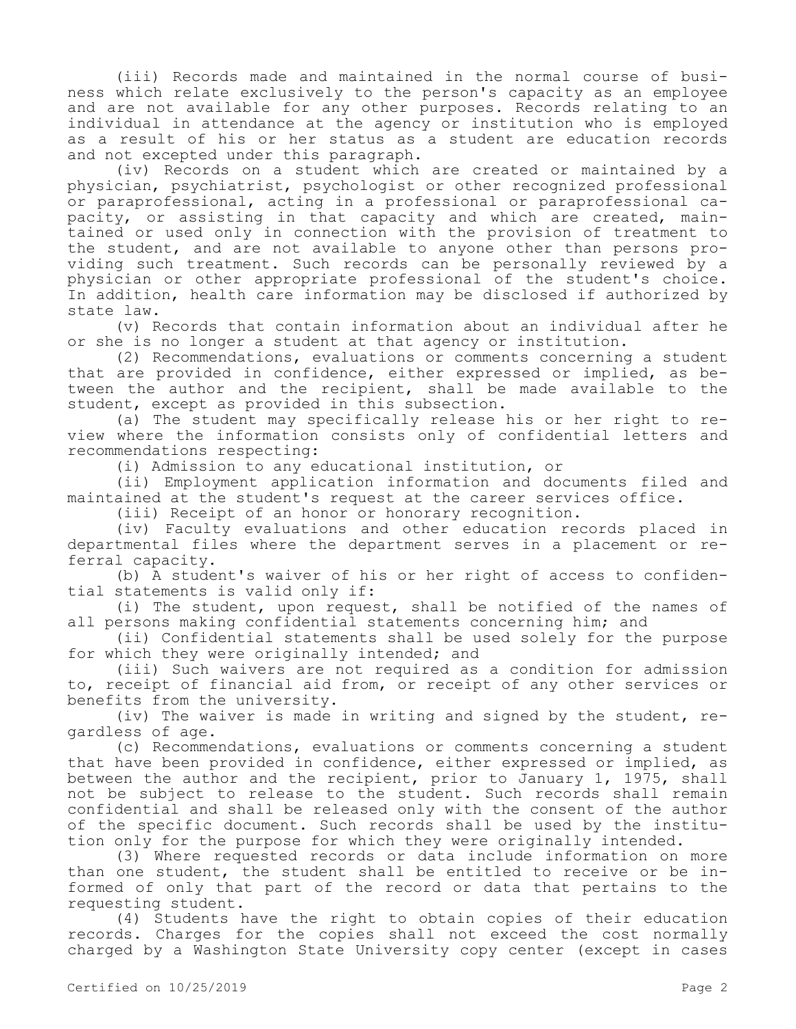(iii) Records made and maintained in the normal course of business which relate exclusively to the person's capacity as an employee and are not available for any other purposes. Records relating to an individual in attendance at the agency or institution who is employed as a result of his or her status as a student are education records and not excepted under this paragraph.

(iv) Records on a student which are created or maintained by a physician, psychiatrist, psychologist or other recognized professional or paraprofessional, acting in a professional or paraprofessional capacity, or assisting in that capacity and which are created, maintained or used only in connection with the provision of treatment to the student, and are not available to anyone other than persons providing such treatment. Such records can be personally reviewed by a physician or other appropriate professional of the student's choice. In addition, health care information may be disclosed if authorized by state law.

(v) Records that contain information about an individual after he or she is no longer a student at that agency or institution.

(2) Recommendations, evaluations or comments concerning a student that are provided in confidence, either expressed or implied, as between the author and the recipient, shall be made available to the student, except as provided in this subsection.

(a) The student may specifically release his or her right to review where the information consists only of confidential letters and recommendations respecting:

(i) Admission to any educational institution, or

(ii) Employment application information and documents filed and maintained at the student's request at the career services office.

(iii) Receipt of an honor or honorary recognition.

(iv) Faculty evaluations and other education records placed in departmental files where the department serves in a placement or referral capacity.

(b) A student's waiver of his or her right of access to confidential statements is valid only if:

(i) The student, upon request, shall be notified of the names of all persons making confidential statements concerning him; and

(ii) Confidential statements shall be used solely for the purpose for which they were originally intended; and

(iii) Such waivers are not required as a condition for admission to, receipt of financial aid from, or receipt of any other services or benefits from the university.

(iv) The waiver is made in writing and signed by the student, regardless of age.

(c) Recommendations, evaluations or comments concerning a student that have been provided in confidence, either expressed or implied, as between the author and the recipient, prior to January 1, 1975, shall not be subject to release to the student. Such records shall remain confidential and shall be released only with the consent of the author of the specific document. Such records shall be used by the institution only for the purpose for which they were originally intended.

(3) Where requested records or data include information on more than one student, the student shall be entitled to receive or be informed of only that part of the record or data that pertains to the requesting student.

(4) Students have the right to obtain copies of their education records. Charges for the copies shall not exceed the cost normally charged by a Washington State University copy center (except in cases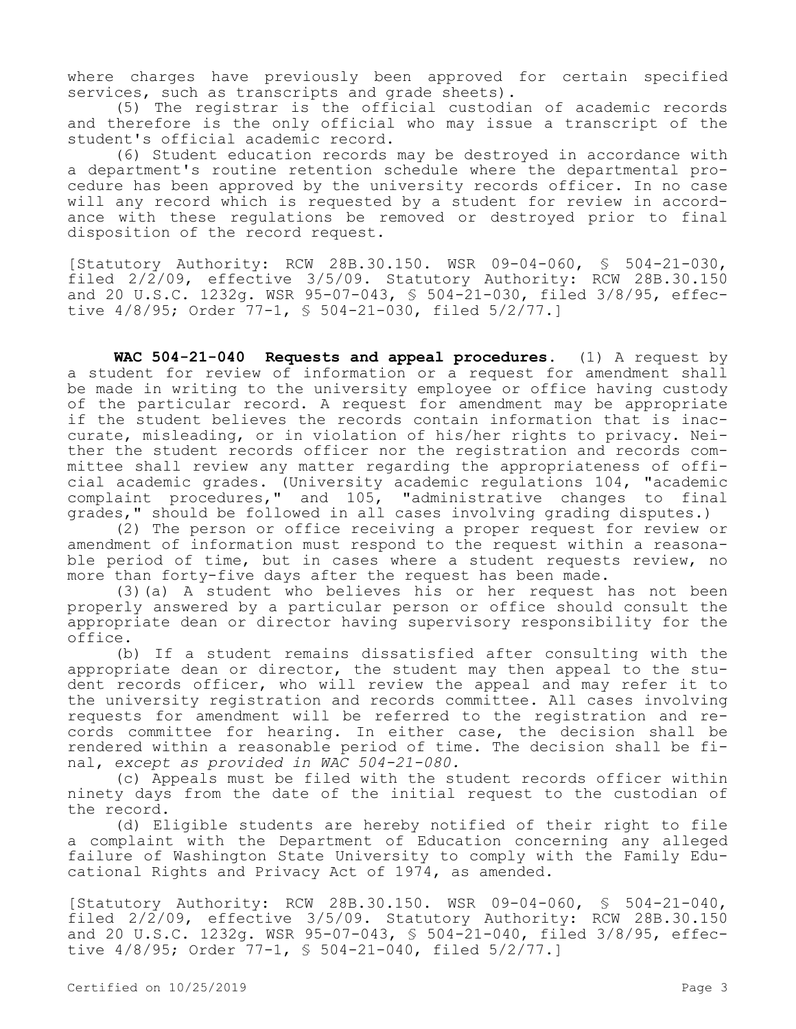where charges have previously been approved for certain specified services, such as transcripts and grade sheets).

(5) The registrar is the official custodian of academic records and therefore is the only official who may issue a transcript of the student's official academic record.

(6) Student education records may be destroyed in accordance with a department's routine retention schedule where the departmental procedure has been approved by the university records officer. In no case will any record which is requested by a student for review in accordance with these regulations be removed or destroyed prior to final disposition of the record request.

[Statutory Authority: RCW 28B.30.150. WSR 09-04-060, § 504-21-030, filed 2/2/09, effective 3/5/09. Statutory Authority: RCW 28B.30.150 and 20 U.S.C. 1232g. WSR 95-07-043, § 504-21-030, filed 3/8/95, effective 4/8/95; Order 77-1, § 504-21-030, filed 5/2/77.]

**WAC 504-21-040 Requests and appeal procedures.** (1) A request by a student for review of information or a request for amendment shall be made in writing to the university employee or office having custody of the particular record. A request for amendment may be appropriate if the student believes the records contain information that is inaccurate, misleading, or in violation of his/her rights to privacy. Neither the student records officer nor the registration and records committee shall review any matter regarding the appropriateness of official academic grades. (University academic regulations 104, "academic complaint procedures," and 105, "administrative changes to final grades," should be followed in all cases involving grading disputes.)

(2) The person or office receiving a proper request for review or amendment of information must respond to the request within a reasonable period of time, but in cases where a student requests review, no more than forty-five days after the request has been made.

(3)(a) A student who believes his or her request has not been properly answered by a particular person or office should consult the appropriate dean or director having supervisory responsibility for the office.

(b) If a student remains dissatisfied after consulting with the appropriate dean or director, the student may then appeal to the student records officer, who will review the appeal and may refer it to the university registration and records committee. All cases involving requests for amendment will be referred to the registration and records committee for hearing. In either case, the decision shall be rendered within a reasonable period of time. The decision shall be final, *except as provided in WAC 504-21-080.*

(c) Appeals must be filed with the student records officer within ninety days from the date of the initial request to the custodian of the record.

(d) Eligible students are hereby notified of their right to file a complaint with the Department of Education concerning any alleged failure of Washington State University to comply with the Family Educational Rights and Privacy Act of 1974, as amended.

[Statutory Authority: RCW 28B.30.150. WSR 09-04-060, § 504-21-040, filed 2/2/09, effective 3/5/09. Statutory Authority: RCW 28B.30.150 and 20 U.S.C. 1232g. WSR 95-07-043, § 504-21-040, filed 3/8/95, effective 4/8/95; Order 77-1, § 504-21-040, filed 5/2/77.]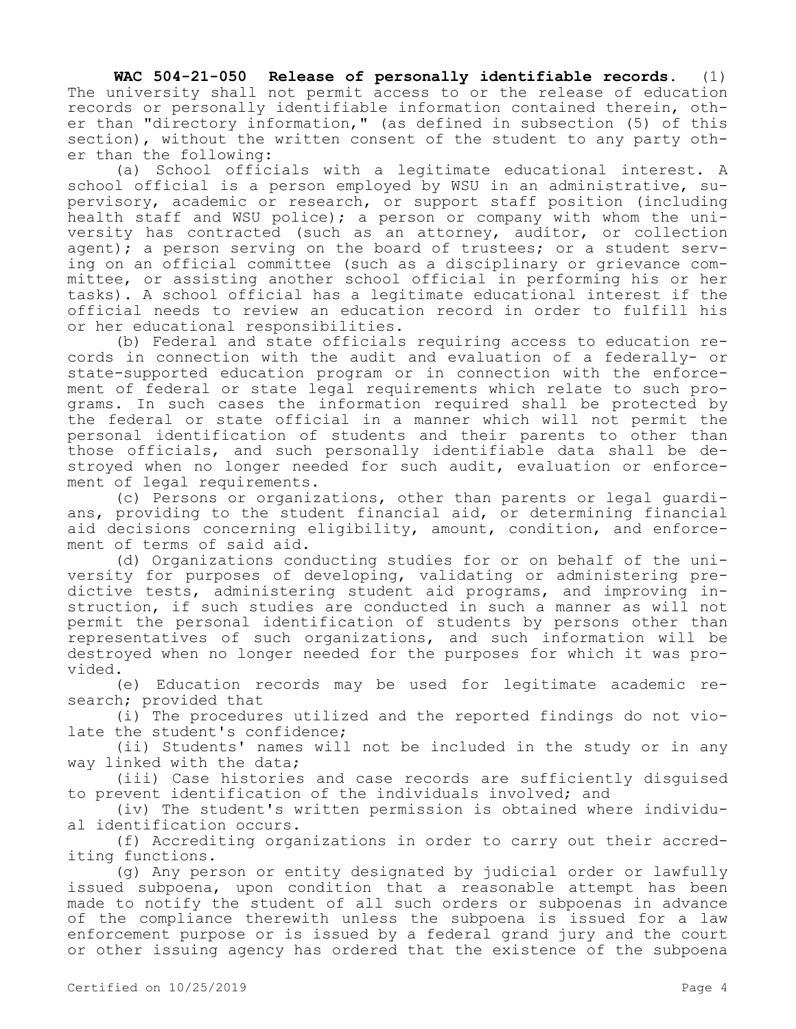**WAC 504-21-050 Release of personally identifiable records.** (1) The university shall not permit access to or the release of education records or personally identifiable information contained therein, other than "directory information," (as defined in subsection (5) of this section), without the written consent of the student to any party other than the following:

(a) School officials with a legitimate educational interest. A school official is a person employed by WSU in an administrative, supervisory, academic or research, or support staff position (including health staff and WSU police); a person or company with whom the university has contracted (such as an attorney, auditor, or collection agent); a person serving on the board of trustees; or a student serving on an official committee (such as a disciplinary or grievance committee, or assisting another school official in performing his or her tasks). A school official has a legitimate educational interest if the official needs to review an education record in order to fulfill his or her educational responsibilities.

(b) Federal and state officials requiring access to education records in connection with the audit and evaluation of a federally- or state-supported education program or in connection with the enforcement of federal or state legal requirements which relate to such programs. In such cases the information required shall be protected by the federal or state official in a manner which will not permit the personal identification of students and their parents to other than those officials, and such personally identifiable data shall be destroyed when no longer needed for such audit, evaluation or enforcement of legal requirements.

(c) Persons or organizations, other than parents or legal guardians, providing to the student financial aid, or determining financial aid decisions concerning eligibility, amount, condition, and enforcement of terms of said aid.

(d) Organizations conducting studies for or on behalf of the university for purposes of developing, validating or administering predictive tests, administering student aid programs, and improving instruction, if such studies are conducted in such a manner as will not permit the personal identification of students by persons other than representatives of such organizations, and such information will be destroyed when no longer needed for the purposes for which it was provided.

(e) Education records may be used for legitimate academic research; provided that

(i) The procedures utilized and the reported findings do not violate the student's confidence;

(ii) Students' names will not be included in the study or in any way linked with the data;

(iii) Case histories and case records are sufficiently disguised to prevent identification of the individuals involved; and

(iv) The student's written permission is obtained where individual identification occurs.

(f) Accrediting organizations in order to carry out their accrediting functions.

(g) Any person or entity designated by judicial order or lawfully issued subpoena, upon condition that a reasonable attempt has been made to notify the student of all such orders or subpoenas in advance of the compliance therewith unless the subpoena is issued for a law enforcement purpose or is issued by a federal grand jury and the court or other issuing agency has ordered that the existence of the subpoena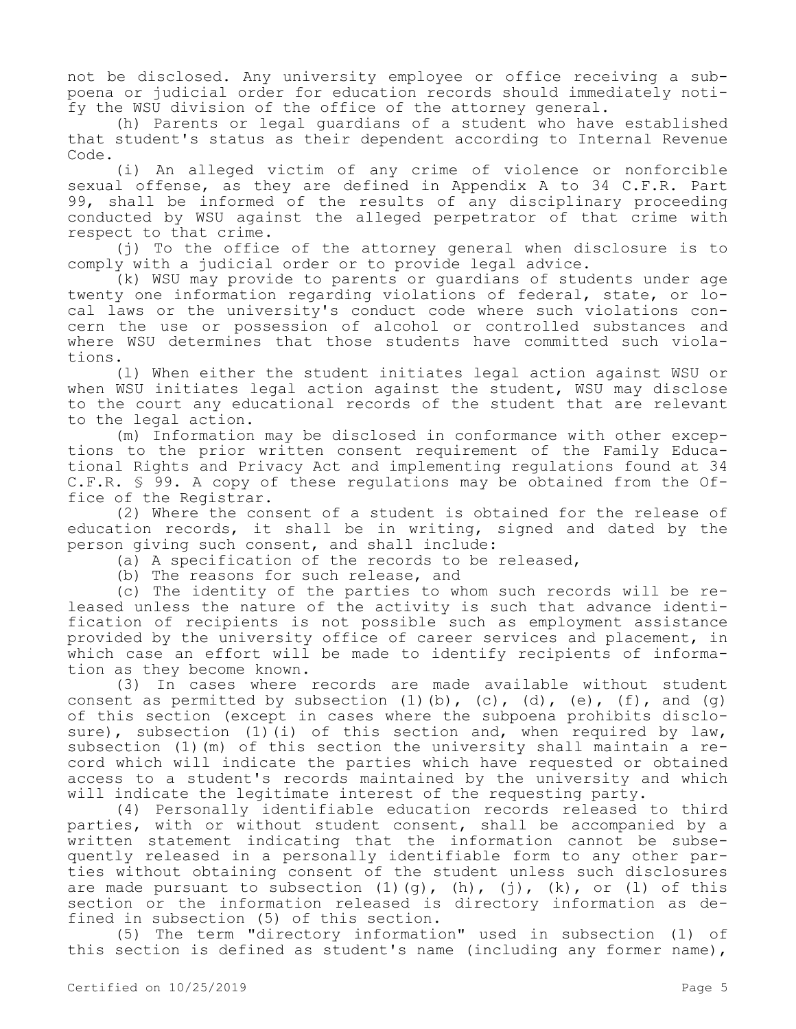not be disclosed. Any university employee or office receiving a subpoena or judicial order for education records should immediately notify the WSU division of the office of the attorney general.

(h) Parents or legal guardians of a student who have established that student's status as their dependent according to Internal Revenue Code.

(i) An alleged victim of any crime of violence or nonforcible sexual offense, as they are defined in Appendix A to 34 C.F.R. Part 99, shall be informed of the results of any disciplinary proceeding conducted by WSU against the alleged perpetrator of that crime with respect to that crime.

(j) To the office of the attorney general when disclosure is to comply with a judicial order or to provide legal advice.

(k) WSU may provide to parents or guardians of students under age twenty one information regarding violations of federal, state, or local laws or the university's conduct code where such violations concern the use or possession of alcohol or controlled substances and where WSU determines that those students have committed such violations.

(l) When either the student initiates legal action against WSU or when WSU initiates legal action against the student, WSU may disclose to the court any educational records of the student that are relevant to the legal action.

(m) Information may be disclosed in conformance with other exceptions to the prior written consent requirement of the Family Educational Rights and Privacy Act and implementing regulations found at 34 C.F.R. § 99. A copy of these regulations may be obtained from the Office of the Registrar.

(2) Where the consent of a student is obtained for the release of education records, it shall be in writing, signed and dated by the person giving such consent, and shall include:

(a) A specification of the records to be released,

(b) The reasons for such release, and

(c) The identity of the parties to whom such records will be released unless the nature of the activity is such that advance identification of recipients is not possible such as employment assistance provided by the university office of career services and placement, in which case an effort will be made to identify recipients of information as they become known.

(3) In cases where records are made available without student consent as permitted by subsection  $(1)$   $(b)$ ,  $(c)$ ,  $(d)$ ,  $(e)$ ,  $(f)$ , and  $(g)$ of this section (except in cases where the subpoena prohibits disclosure), subsection  $(1)(i)$  of this section and, when required by law, subsection (1)(m) of this section the university shall maintain a record which will indicate the parties which have requested or obtained access to a student's records maintained by the university and which will indicate the legitimate interest of the requesting party.

(4) Personally identifiable education records released to third parties, with or without student consent, shall be accompanied by a written statement indicating that the information cannot be subsequently released in a personally identifiable form to any other parties without obtaining consent of the student unless such disclosures are made pursuant to subsection  $(1)$  $(q)$ ,  $(h)$ ,  $(j)$ ,  $(k)$ , or  $(1)$  of this section or the information released is directory information as defined in subsection (5) of this section.

(5) The term "directory information" used in subsection (1) of this section is defined as student's name (including any former name),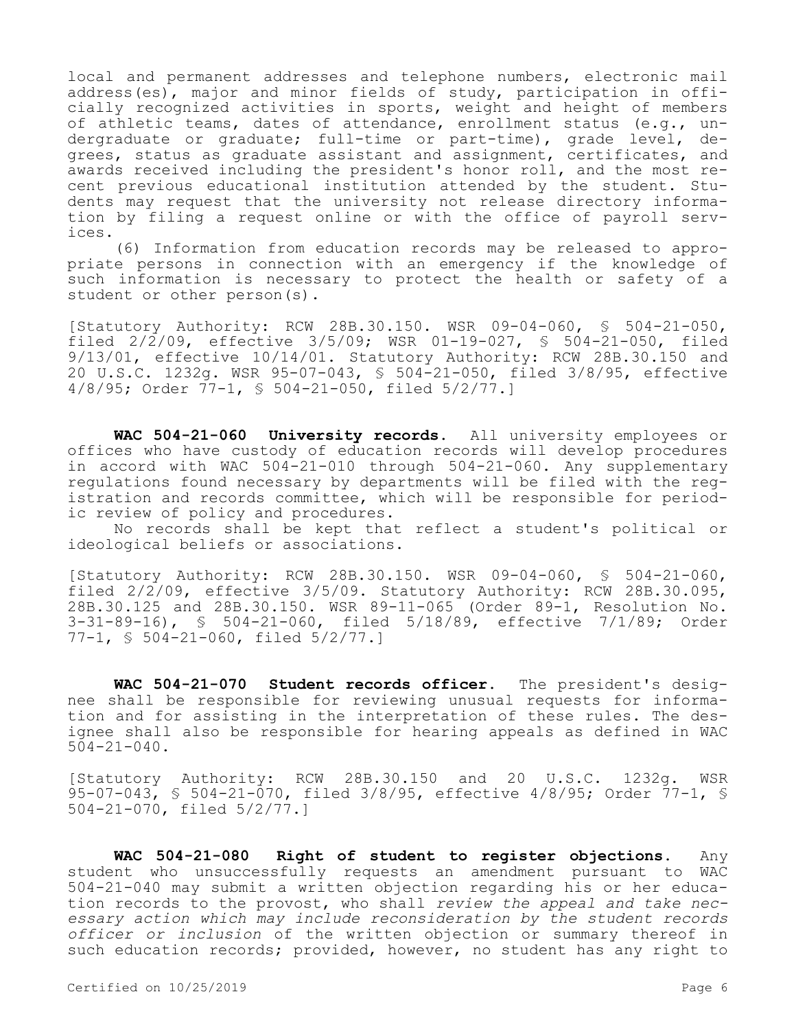local and permanent addresses and telephone numbers, electronic mail address(es), major and minor fields of study, participation in officially recognized activities in sports, weight and height of members of athletic teams, dates of attendance, enrollment status (e.g., undergraduate or graduate; full-time or part-time), grade level, degrees, status as graduate assistant and assignment, certificates, and awards received including the president's honor roll, and the most recent previous educational institution attended by the student. Students may request that the university not release directory information by filing a request online or with the office of payroll services.

(6) Information from education records may be released to appropriate persons in connection with an emergency if the knowledge of such information is necessary to protect the health or safety of a student or other person(s).

[Statutory Authority: RCW 28B.30.150. WSR 09-04-060, § 504-21-050, filed 2/2/09, effective 3/5/09; WSR 01-19-027, § 504-21-050, filed 9/13/01, effective 10/14/01. Statutory Authority: RCW 28B.30.150 and 20 U.S.C. 1232g. WSR 95-07-043, § 504-21-050, filed 3/8/95, effective 4/8/95; Order 77-1, § 504-21-050, filed 5/2/77.]

**WAC 504-21-060 University records.** All university employees or offices who have custody of education records will develop procedures in accord with WAC 504-21-010 through 504-21-060. Any supplementary regulations found necessary by departments will be filed with the registration and records committee, which will be responsible for periodic review of policy and procedures.

No records shall be kept that reflect a student's political or ideological beliefs or associations.

[Statutory Authority: RCW 28B.30.150. WSR 09-04-060, § 504-21-060, filed 2/2/09, effective 3/5/09. Statutory Authority: RCW 28B.30.095, 28B.30.125 and 28B.30.150. WSR 89-11-065 (Order 89-1, Resolution No. 3-31-89-16), § 504-21-060, filed 5/18/89, effective 7/1/89; Order 77-1, § 504-21-060, filed 5/2/77.]

**WAC 504-21-070 Student records officer.** The president's designee shall be responsible for reviewing unusual requests for information and for assisting in the interpretation of these rules. The designee shall also be responsible for hearing appeals as defined in WAC  $504 - 21 - 040$ .

[Statutory Authority: RCW 28B.30.150 and 20 U.S.C. 1232g. WSR 95-07-043, § 504-21-070, filed 3/8/95, effective 4/8/95; Order 77-1, § 504-21-070, filed 5/2/77.]

**WAC 504-21-080 Right of student to register objections.** Any student who unsuccessfully requests an amendment pursuant to WAC 504-21-040 may submit a written objection regarding his or her education records to the provost, who shall *review the appeal and take necessary action which may include reconsideration by the student records officer or inclusion* of the written objection or summary thereof in such education records; provided, however, no student has any right to